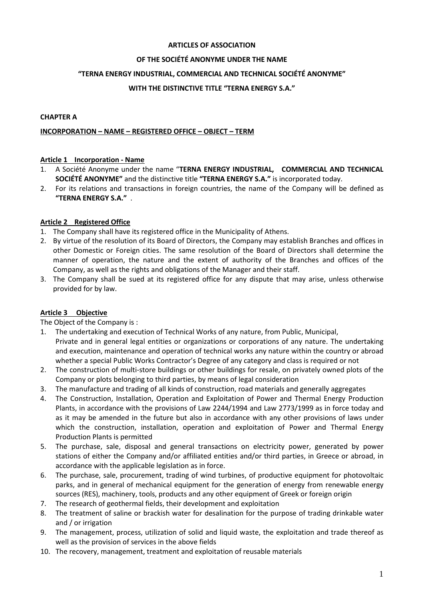#### **ARTICLES OF ASSOCIATION**

## **OF THE SOCIÉTÉ ANONYME UNDER THE NAME**

#### **"TERNA ENERGY INDUSTRIAL, COMMERCIAL AND TECHNICAL SOCIÉTÉ ANONYME"**

## **WITH THE DISTINCTIVE TITLE "TERNA ENERGY S.A."**

#### **CHAPTER A**

#### **INCORPORATION – NAME – REGISTERED OFFICE – OBJECT – TERM**

#### **Article 1 Incorporation - Name**

- 1. A Société Anonyme under the name "**TERNA ENERGY INDUSTRIAL, COMMERCIAL AND TECHNICAL SOCIÉTÉ ANONYME"** and the distinctive title **"TERNA ENERGY S.A."** is incorporated today.
- 2. For its relations and transactions in foreign countries, the name of the Company will be defined as **"TERNA ENERGY S.A."** .

## **Article 2 Registered Office**

- 1. The Company shall have its registered office in the Municipality of Athens.
- 2. By virtue of the resolution of its Board of Directors, the Company may establish Branches and offices in other Domestic or Foreign cities. The same resolution of the Board of Directors shall determine the manner of operation, the nature and the extent of authority of the Branches and offices of the Company, as well as the rights and obligations of the Manager and their staff.
- 3. The Company shall be sued at its registered office for any dispute that may arise, unless otherwise provided for by law.

## **Article 3 Objective**

The Object of the Company is :

- 1. The undertaking and execution of Technical Works of any nature, from Public, Municipal, Private and in general legal entities or organizations or corporations of any nature. The undertaking and execution, maintenance and operation of technical works any nature within the country or abroad whether a special Public Works Contractor's Degree of any category and class is required or not
- 2. The construction of multi-store buildings or other buildings for resale, on privately owned plots of the Company or plots belonging to third parties, by means of legal consideration
- 3. The manufacture and trading of all kinds of construction, road materials and generally aggregates
- 4. The Construction, Installation, Operation and Exploitation of Power and Thermal Energy Production Plants, in accordance with the provisions of Law 2244/1994 and Law 2773/1999 as in force today and as it may be amended in the future but also in accordance with any other provisions of laws under which the construction, installation, operation and exploitation of Power and Thermal Energy Production Plants is permitted
- 5. The purchase, sale, disposal and general transactions on electricity power, generated by power stations of either the Company and/or affiliated entities and/or third parties, in Greece or abroad, in accordance with the applicable legislation as in force.
- 6. The purchase, sale, procurement, trading of wind turbines, of productive equipment for photovoltaic parks, and in general of mechanical equipment for the generation of energy from renewable energy sources (RES), machinery, tools, products and any other equipment of Greek or foreign origin
- 7. The research of geothermal fields, their development and exploitation
- 8. The treatment of saline or brackish water for desalination for the purpose of trading drinkable water and / or irrigation
- 9. The management, process, utilization of solid and liquid waste, the exploitation and trade thereof as well as the provision of services in the above fields
- 10. The recovery, management, treatment and exploitation of reusable materials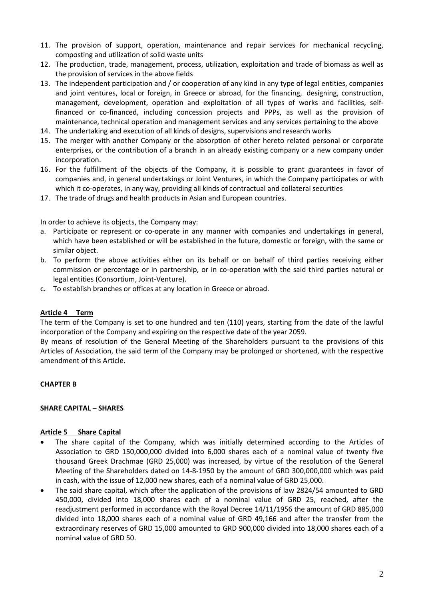- 11. The provision of support, operation, maintenance and repair services for mechanical recycling, composting and utilization of solid waste units
- 12. The production, trade, management, process, utilization, exploitation and trade of biomass as well as the provision of services in the above fields
- 13. The independent participation and / or cooperation of any kind in any type of legal entities, companies and joint ventures, local or foreign, in Greece or abroad, for the financing, designing, construction, management, development, operation and exploitation of all types of works and facilities, selffinanced or co-financed, including concession projects and PPPs, as well as the provision of maintenance, technical operation and management services and any services pertaining to the above
- 14. The undertaking and execution of all kinds of designs, supervisions and research works
- 15. The merger with another Company or the absorption of other hereto related personal or corporate enterprises, or the contribution of a branch in an already existing company or a new company under incorporation.
- 16. For the fulfillment of the objects of the Company, it is possible to grant guarantees in favor of companies and, in general undertakings or Joint Ventures, in which the Company participates or with which it co-operates, in any way, providing all kinds of contractual and collateral securities
- 17. The trade of drugs and health products in Asian and European countries.

In order to achieve its objects, the Company may:

- a. Participate or represent or co-operate in any manner with companies and undertakings in general, which have been established or will be established in the future, domestic or foreign, with the same or similar object.
- b. To perform the above activities either on its behalf or on behalf of third parties receiving either commission or percentage or in partnership, or in co-operation with the said third parties natural or legal entities (Consortium, Joint-Venture).
- c. To establish branches or offices at any location in Greece or abroad.

#### **Article 4 Term**

The term of the Company is set to one hundred and ten (110) years, starting from the date of the lawful incorporation of the Company and expiring on the respective date of the year 2059.

By means of resolution of the General Meeting of the Shareholders pursuant to the provisions of this Articles of Association, the said term of the Company may be prolonged or shortened, with the respective amendment of this Article.

#### **CHAPTER B**

#### **SHARE CAPITAL – SHARES**

#### **Article 5 Share Capital**

- The share capital of the Company, which was initially determined according to the Articles of Association to GRD 150,000,000 divided into 6,000 shares each of a nominal value of twenty five thousand Greek Drachmae (GRD 25,000) was increased, by virtue of the resolution of the General Meeting of the Shareholders dated on 14-8-1950 by the amount of GRD 300,000,000 which was paid in cash, with the issue of 12,000 new shares, each of a nominal value of GRD 25,000.
- The said share capital, which after the application of the provisions of law 2824/54 amounted to GRD 450,000, divided into 18,000 shares each of a nominal value of GRD 25, reached, after the readjustment performed in accordance with the Royal Decree 14/11/1956 the amount of GRD 885,000 divided into 18,000 shares each of a nominal value of GRD 49,166 and after the transfer from the extraordinary reserves of GRD 15,000 amounted to GRD 900,000 divided into 18,000 shares each of a nominal value of GRD 50.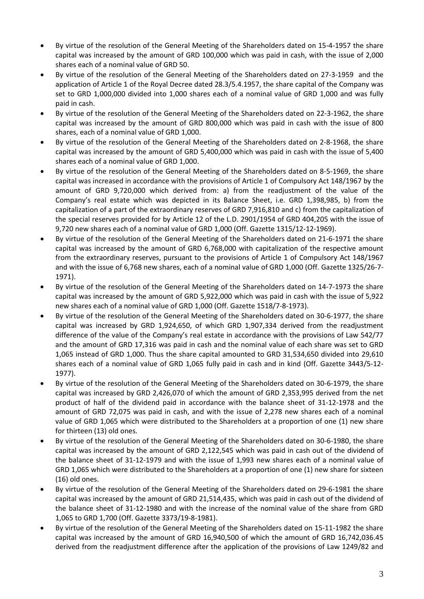- By virtue of the resolution of the General Meeting of the Shareholders dated on 15-4-1957 the share capital was increased by the amount of GRD 100,000 which was paid in cash, with the issue of 2,000 shares each of a nominal value of GRD 50.
- By virtue of the resolution of the General Meeting of the Shareholders dated on 27-3-1959 and the application of Article 1 of the Royal Decree dated 28.3/5.4.1957, the share capital of the Company was set to GRD 1,000,000 divided into 1,000 shares each of a nominal value of GRD 1,000 and was fully paid in cash.
- By virtue of the resolution of the General Meeting of the Shareholders dated on 22-3-1962, the share capital was increased by the amount of GRD 800,000 which was paid in cash with the issue of 800 shares, each of a nominal value of GRD 1,000.
- By virtue of the resolution of the General Meeting of the Shareholders dated on 2-8-1968, the share capital was increased by the amount of GRD 5,400,000 which was paid in cash with the issue of 5,400 shares each of a nominal value of GRD 1,000.
- By virtue of the resolution of the General Meeting of the Shareholders dated on 8-5-1969, the share capital was increased in accordance with the provisions of Article 1 of Compulsory Act 148/1967 by the amount of GRD 9,720,000 which derived from: a) from the readjustment of the value of the Company's real estate which was depicted in its Balance Sheet, i.e. GRD 1,398,985, b) from the capitalization of a part of the extraordinary reserves of GRD 7,916,810 and c) from the capitalization of the special reserves provided for by Article 12 of the L.D. 2901/1954 of GRD 404,205 with the issue of 9,720 new shares each of a nominal value of GRD 1,000 (Off. Gazette 1315/12-12-1969).
- By virtue of the resolution of the General Meeting of the Shareholders dated on 21-6-1971 the share capital was increased by the amount of GRD 6,768,000 with capitalization of the respective amount from the extraordinary reserves, pursuant to the provisions of Article 1 of Compulsory Act 148/1967 and with the issue of 6,768 new shares, each of a nominal value of GRD 1,000 (Off. Gazette 1325/26-7- 1971).
- By virtue of the resolution of the General Meeting of the Shareholders dated on 14-7-1973 the share capital was increased by the amount of GRD 5,922,000 which was paid in cash with the issue of 5,922 new shares each of a nominal value of GRD 1,000 (Off. Gazette 1518/7-8-1973).
- By virtue of the resolution of the General Meeting of the Shareholders dated on 30-6-1977, the share capital was increased by GRD 1,924,650, of which GRD 1,907,334 derived from the readjustment difference of the value of the Company's real estate in accordance with the provisions of Law 542/77 and the amount of GRD 17,316 was paid in cash and the nominal value of each share was set to GRD 1,065 instead of GRD 1,000. Thus the share capital amounted to GRD 31,534,650 divided into 29,610 shares each of a nominal value of GRD 1,065 fully paid in cash and in kind (Off. Gazette 3443/5-12- 1977).
- By virtue of the resolution of the General Meeting of the Shareholders dated on 30-6-1979, the share capital was increased by GRD 2,426,070 of which the amount of GRD 2,353,995 derived from the net product of half of the dividend paid in accordance with the balance sheet of 31-12-1978 and the amount of GRD 72,075 was paid in cash, and with the issue of 2,278 new shares each of a nominal value of GRD 1,065 which were distributed to the Shareholders at a proportion of one (1) new share for thirteen (13) old ones.
- By virtue of the resolution of the General Meeting of the Shareholders dated on 30-6-1980, the share capital was increased by the amount of GRD 2,122,545 which was paid in cash out of the dividend of the balance sheet of 31-12-1979 and with the issue of 1,993 new shares each of a nominal value of GRD 1,065 which were distributed to the Shareholders at a proportion of one (1) new share for sixteen (16) old ones.
- By virtue of the resolution of the General Meeting of the Shareholders dated on 29-6-1981 the share capital was increased by the amount of GRD 21,514,435, which was paid in cash out of the dividend of the balance sheet of 31-12-1980 and with the increase of the nominal value of the share from GRD 1,065 to GRD 1,700 (Off. Gazette 3373/19-8-1981).
- By virtue of the resolution of the General Meeting of the Shareholders dated on 15-11-1982 the share capital was increased by the amount of GRD 16,940,500 of which the amount of GRD 16,742,036.45 derived from the readjustment difference after the application of the provisions of Law 1249/82 and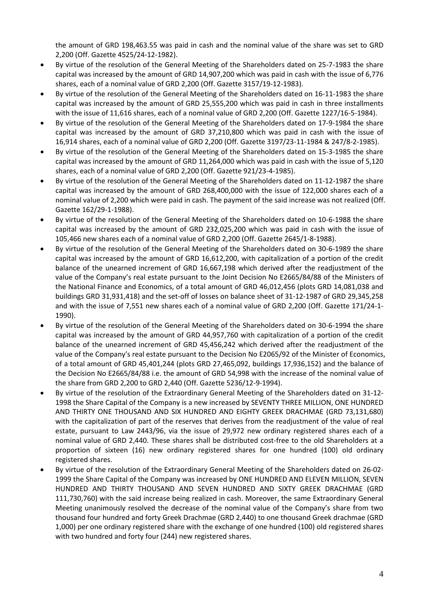the amount of GRD 198,463.55 was paid in cash and the nominal value of the share was set to GRD 2,200 (Off. Gazette 4525/24-12-1982).

- By virtue of the resolution of the General Meeting of the Shareholders dated on 25-7-1983 the share capital was increased by the amount of GRD 14,907,200 which was paid in cash with the issue of 6,776 shares, each of a nominal value of GRD 2,200 (Off. Gazette 3157/19-12-1983).
- By virtue of the resolution of the General Meeting of the Shareholders dated on 16-11-1983 the share capital was increased by the amount of GRD 25,555,200 which was paid in cash in three installments with the issue of 11,616 shares, each of a nominal value of GRD 2,200 (Off. Gazette 1227/16-5-1984).
- By virtue of the resolution of the General Meeting of the Shareholders dated on 17-9-1984 the share capital was increased by the amount of GRD 37,210,800 which was paid in cash with the issue of 16,914 shares, each of a nominal value of GRD 2,200 (Off. Gazette 3197/23-11-1984 & 247/8-2-1985).
- By virtue of the resolution of the General Meeting of the Shareholders dated on 15-3-1985 the share capital was increased by the amount of GRD 11,264,000 which was paid in cash with the issue of 5,120 shares, each of a nominal value of GRD 2,200 (Off. Gazette 921/23-4-1985).
- By virtue of the resolution of the General Meeting of the Shareholders dated on 11-12-1987 the share capital was increased by the amount of GRD 268,400,000 with the issue of 122,000 shares each of a nominal value of 2,200 which were paid in cash. The payment of the said increase was not realized (Off. Gazette 162/29-1-1988).
- By virtue of the resolution of the General Meeting of the Shareholders dated on 10-6-1988 the share capital was increased by the amount of GRD 232,025,200 which was paid in cash with the issue of 105,466 new shares each of a nominal value of GRD 2,200 (Off. Gazette 2645/1-8-1988).
- By virtue of the resolution of the General Meeting of the Shareholders dated on 30-6-1989 the share capital was increased by the amount of GRD 16,612,200, with capitalization of a portion of the credit balance of the unearned increment of GRD 16,667,198 which derived after the readjustment of the value of the Company's real estate pursuant to the Joint Decision No E2665/84/88 of the Ministers of the National Finance and Economics, of a total amount of GRD 46,012,456 (plots GRD 14,081,038 and buildings GRD 31,931,418) and the set-off of losses on balance sheet of 31-12-1987 of GRD 29,345,258 and with the issue of 7,551 new shares each of a nominal value of GRD 2,200 (Off. Gazette 171/24-1- 1990).
- By virtue of the resolution of the General Meeting of the Shareholders dated on 30-6-1994 the share capital was increased by the amount of GRD 44,957,760 with capitalization of a portion of the credit balance of the unearned increment of GRD 45,456,242 which derived after the readjustment of the value of the Company's real estate pursuant to the Decision No E2065/92 of the Minister of Economics, of a total amount of GRD 45,401,244 (plots GRD 27,465,092, buildings 17,936,152) and the balance of the Decision No E2665/84/88 i.e. the amount of GRD 54,998 with the increase of the nominal value of the share from GRD 2,200 to GRD 2,440 (Off. Gazette 5236/12-9-1994).
- By virtue of the resolution of the Extraordinary General Meeting of the Shareholders dated on 31-12- 1998 the Share Capital of the Company is a new increased by SEVENTY THREE MILLION, ONE HUNDRED AND THIRTY ONE THOUSAND AND SIX HUNDRED AND EIGHTY GREEK DRACHMAE (GRD 73,131,680) with the capitalization of part of the reserves that derives from the readjustment of the value of real estate, pursuant to Law 2443/96, via the issue of 29,972 new ordinary registered shares each of a nominal value of GRD 2,440. These shares shall be distributed cost-free to the old Shareholders at a proportion of sixteen (16) new ordinary registered shares for one hundred (100) old ordinary registered shares.
- By virtue of the resolution of the Extraordinary General Meeting of the Shareholders dated on 26-02- 1999 the Share Capital of the Company was increased by ONE HUNDRED AND ELEVEN MILLION, SEVEN HUNDRED AND THIRTY THOUSAND AND SEVEN HUNDRED AND SIXTY GREEK DRACHMAE (GRD 111,730,760) with the said increase being realized in cash. Moreover, the same Extraordinary General Meeting unanimously resolved the decrease of the nominal value of the Company's share from two thousand four hundred and forty Greek Drachmae (GRD 2,440) to one thousand Greek drachmae (GRD 1,000) per one ordinary registered share with the exchange of one hundred (100) old registered shares with two hundred and forty four (244) new registered shares.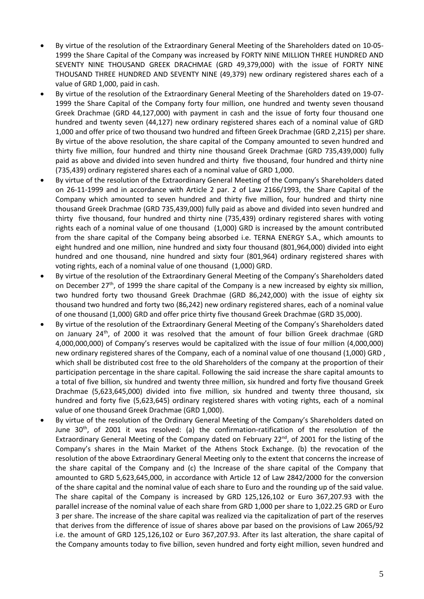- By virtue of the resolution of the Extraordinary General Meeting of the Shareholders dated on 10-05- 1999 the Share Capital of the Company was increased by FORTY NINE MILLION THREE HUNDRED AND SEVENTY NINE THOUSAND GREEK DRACHMAE (GRD 49,379,000) with the issue of FORTY NINE THOUSAND THREE HUNDRED AND SEVENTY NINE (49,379) new ordinary registered shares each of a value of GRD 1,000, paid in cash.
- By virtue of the resolution of the Extraordinary General Meeting of the Shareholders dated on 19-07- 1999 the Share Capital of the Company forty four million, one hundred and twenty seven thousand Greek Drachmae (GRD 44,127,000) with payment in cash and the issue of forty four thousand one hundred and twenty seven (44,127) new ordinary registered shares each of a nominal value of GRD 1,000 and offer price of two thousand two hundred and fifteen Greek Drachmae (GRD 2,215) per share. By virtue of the above resolution, the share capital of the Company amounted to seven hundred and thirty five million, four hundred and thirty nine thousand Greek Drachmae (GRD 735,439,000) fully paid as above and divided into seven hundred and thirty five thousand, four hundred and thirty nine (735,439) ordinary registered shares each of a nominal value of GRD 1,000.
- By virtue of the resolution of the Extraordinary General Meeting of the Company's Shareholders dated on 26-11-1999 and in accordance with Article 2 par. 2 of Law 2166/1993, the Share Capital of the Company which amounted to seven hundred and thirty five million, four hundred and thirty nine thousand Greek Drachmae (GRD 735,439,000) fully paid as above and divided into seven hundred and thirty five thousand, four hundred and thirty nine (735,439) ordinary registered shares with voting rights each of a nominal value of one thousand (1,000) GRD is increased by the amount contributed from the share capital of the Company being absorbed i.e. TERNA ENERGY S.A., which amounts to eight hundred and one million, nine hundred and sixty four thousand (801,964,000) divided into eight hundred and one thousand, nine hundred and sixty four (801,964) ordinary registered shares with voting rights, each of a nominal value of one thousand (1,000) GRD.
- By virtue of the resolution of the Extraordinary General Meeting of the Company's Shareholders dated on December  $27<sup>th</sup>$ , of 1999 the share capital of the Company is a new increased by eighty six million, two hundred forty two thousand Greek Drachmae (GRD 86,242,000) with the issue of eighty six thousand two hundred and forty two (86,242) new ordinary registered shares, each of a nominal value of one thousand (1,000) GRD and offer price thirty five thousand Greek Drachmae (GRD 35,000).
- By virtue of the resolution of the Extraordinary General Meeting of the Company's Shareholders dated on January 24th, of 2000 it was resolved that the amount of four billion Greek drachmae (GRD 4,000,000,000) of Company's reserves would be capitalized with the issue of four million (4,000,000) new ordinary registered shares of the Company, each of a nominal value of one thousand (1,000) GRD , which shall be distributed cost free to the old Shareholders of the company at the proportion of their participation percentage in the share capital. Following the said increase the share capital amounts to a total of five billion, six hundred and twenty three million, six hundred and forty five thousand Greek Drachmae (5,623,645,000) divided into five million, six hundred and twenty three thousand, six hundred and forty five (5,623,645) ordinary registered shares with voting rights, each of a nominal value of one thousand Greek Drachmae (GRD 1,000).
- By virtue of the resolution of the Ordinary General Meeting of the Company's Shareholders dated on June 30<sup>th</sup>, of 2001 it was resolved: (a) the confirmation-ratification of the resolution of the Extraordinary General Meeting of the Company dated on February 22<sup>nd</sup>, of 2001 for the listing of the Company's shares in the Main Market of the Athens Stock Exchange. (b) the revocation of the resolution of the above Extraordinary General Meeting only to the extent that concerns the increase of the share capital of the Company and (c) the Increase of the share capital of the Company that amounted to GRD 5,623,645,000, in accordance with Article 12 of Law 2842/2000 for the conversion of the share capital and the nominal value of each share to Euro and the rounding up of the said value. The share capital of the Company is increased by GRD 125,126,102 or Euro 367,207.93 with the parallel increase of the nominal value of each share from GRD 1,000 per share to 1,022.25 GRD or Euro 3 per share. The increase of the share capital was realized via the capitalization of part of the reserves that derives from the difference of issue of shares above par based on the provisions of Law 2065/92 i.e. the amount of GRD 125,126,102 or Euro 367,207.93. After its last alteration, the share capital of the Company amounts today to five billion, seven hundred and forty eight million, seven hundred and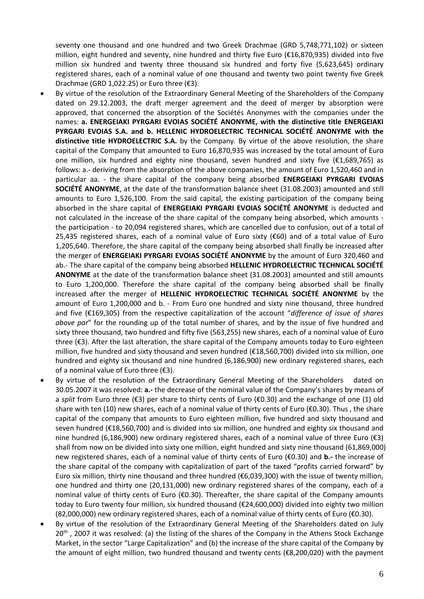seventy one thousand and one hundred and two Greek Drachmae (GRD 5,748,771,102) or sixteen million, eight hundred and seventy, nine hundred and thirty five Euro (€16,870,935) divided into five million six hundred and twenty three thousand six hundred and forty five (5,623,645) ordinary registered shares, each of a nominal value of one thousand and twenty two point twenty five Greek Drachmae (GRD 1,022.25) or Euro three (€3).

- By virtue of the resolution of the Extraordinary General Meeting of the Shareholders of the Company dated on 29.12.2003, the draft merger agreement and the deed of merger by absorption were approved, that concerned the absorption of the Sociétés Anonymes with the companies under the names: **a. ENERGEIAKI PYRGARI EVOIAS SOCIÉTÉ ANONYME, with the distinctive title ENERGEIAKI PYRGARI EVOIAS S.A. and b. HELLENIC HYDROELECTRIC TECHNICAL SOCIÉTÉ ANONYME with the distinctive title HYDROELECTRIC S.A.** by the Company. By virtue of the above resolution, the share capital of the Company that amounted to Euro 16,870,935 was increased by the total amount of Euro one million, six hundred and eighty nine thousand, seven hundred and sixty five (€1,689,765) as follows: a.- deriving from the absorption of the above companies, the amount of Euro 1,520,460 and in particular aa. - the share capital of the company being absorbed **ENERGEIAKI PYRGARI EVOIAS SOCIÉTÉ ANONYME**, at the date of the transformation balance sheet (31.08.2003) amounted and still amounts to Euro 1,526,100. From the said capital, the existing participation of the company being absorbed in the share capital of **ENERGEIAKI PYRGARI EVOIAS SOCIÉTÉ ANONYME** is deducted and not calculated in the increase of the share capital of the company being absorbed, which amounts the participation - to 20,094 registered shares, which are cancelled due to confusion, out of a total of 25,435 registered shares, each of a nominal value of Euro sixty (€60) and of a total value of Euro 1,205,640. Therefore, the share capital of the company being absorbed shall finally be increased after the merger of **ENERGEIAKI PYRGARI EVOIAS SOCIÉTÉ ANONYME** by the amount of Euro 320,460 and ab.- The share capital of the company being absorbed **HELLENIC HYDROELECTRIC TECHNICAL SOCIÉTÉ ANONYME** at the date of the transformation balance sheet (31.08.2003) amounted and still amounts to Euro 1,200,000. Therefore the share capital of the company being absorbed shall be finally increased after the merger of **HELLENIC HYDROELECTRIC TECHNICAL SOCIÉTÉ ANONYME** by the amount of Euro 1,200,000 and b. - From Euro one hundred and sixty nine thousand, three hundred and five (€169,305) from the respective capitalization of the account "*difference of issue of shares above par*" for the rounding up of the total number of shares, and by the issue of five hundred and sixty three thousand, two hundred and fifty five (563,255) new shares, each of a nominal value of Euro three (€3). After the last alteration, the share capital of the Company amounts today to Euro eighteen million, five hundred and sixty thousand and seven hundred (€18,560,700) divided into six million, one hundred and eighty six thousand and nine hundred (6,186,900) new ordinary registered shares, each of a nominal value of Euro three  $(£3)$ .
- By virtue of the resolution of the Extraordinary General Meeting of the Shareholders dated on 30.05.2007 it was resolved: **a.-** the decrease of the nominal value of the Company's shares by means of a *split* from Euro three (€3) per share to thirty cents of Euro (€0.30) and the exchange of one (1) old share with ten (10) new shares, each of a nominal value of thirty cents of Euro (€0.30). Thus , the share capital of the company that amounts to Euro eighteen million, five hundred and sixty thousand and seven hundred (€18,560,700) and is divided into six million, one hundred and eighty six thousand and nine hundred (6,186,900) new ordinary registered shares, each of a nominal value of three Euro (€3) shall from now on be divided into sixty one million, eight hundred and sixty nine thousand (61,869,000) new registered shares, each of a nominal value of thirty cents of Euro (€0.30) and **b.-** the increase of the share capital of the company with capitalization of part of the taxed "profits carried forward" by Euro six million, thirty nine thousand and three hundred (€6,039,300) with the issue of twenty million, one hundred and thirty one (20,131,000) new ordinary registered shares of the company, each of a nominal value of thirty cents of Euro (€0.30). Thereafter, the share capital of the Company amounts today to Euro twenty four million, six hundred thousand (€24,600,000) divided into eighty two million (82,000,000) new ordinary registered shares, each of a nominal value of thirty cents of Euro (€0.30).
- By virtue of the resolution of the Extraordinary General Meeting of the Shareholders dated on July 20<sup>th</sup>, 2007 it was resolved: (a) the listing of the shares of the Company in the Athens Stock Exchange Market, in the sector "Large Capitalization" and (b) the increase of the share capital of the Company by the amount of eight million, two hundred thousand and twenty cents (€8,200,020) with the payment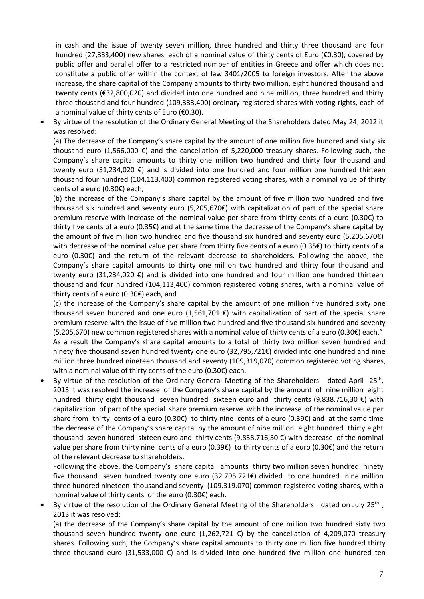in cash and the issue of twenty seven million, three hundred and thirty three thousand and four hundred (27,333,400) new shares, each of a nominal value of thirty cents of Euro (€0.30), covered by public offer and parallel offer to a restricted number of entities in Greece and offer which does not constitute a public offer within the context of law 3401/2005 to foreign investors. After the above increase, the share capital of the Company amounts to thirty two million, eight hundred thousand and twenty cents (€32,800,020) and divided into one hundred and nine million, three hundred and thirty three thousand and four hundred (109,333,400) ordinary registered shares with voting rights, each of a nominal value of thirty cents of Euro (€0.30).

• By virtue of the resolution of the Ordinary General Meeting of the Shareholders dated May 24, 2012 it was resolved:

(a) The decrease of the Company's share capital by the amount of one million five hundred and sixty six thousand euro (1,566,000 €) and the cancellation of 5,220,000 treasury shares. Following such, the Company's share capital amounts to thirty one million two hundred and thirty four thousand and twenty euro (31,234,020 €) and is divided into one hundred and four million one hundred thirteen thousand four hundred (104,113,400) common registered voting shares, with a nominal value of thirty cents of a euro (0.30€) each,

(b) the increase of the Company's share capital by the amount of five million two hundred and five thousand six hundred and seventy euro (5,205,670€) with capitalization of part of the special share premium reserve with increase of the nominal value per share from thirty cents of a euro (0.30€) to thirty five cents of a euro (0.35€) and at the same time the decrease of the Company's share capital by the amount of five million two hundred and five thousand six hundred and seventy euro (5,205,670€) with decrease of the nominal value per share from thirty five cents of a euro (0.35€) to thirty cents of a euro (0.30€) and the return of the relevant decrease to shareholders. Following the above, the Company's share capital amounts to thirty one million two hundred and thirty four thousand and twenty euro (31,234,020 €) and is divided into one hundred and four million one hundred thirteen thousand and four hundred (104,113,400) common registered voting shares, with a nominal value of thirty cents of a euro (0.30€) each, and

(c) the increase of the Company's share capital by the amount of one million five hundred sixty one thousand seven hundred and one euro  $(1,561,701 \epsilon)$  with capitalization of part of the special share premium reserve with the issue of five million two hundred and five thousand six hundred and seventy (5,205,670) new common registered shares with a nominal value of thirty cents of a euro (0.30€) each."

As a result the Company's share capital amounts to a total of thirty two million seven hundred and ninety five thousand seven hundred twenty one euro (32,795,721€) divided into one hundred and nine million three hundred nineteen thousand and seventy (109,319,070) common registered voting shares, with a nominal value of thirty cents of the euro (0.30€) each.

By virtue of the resolution of the Ordinary General Meeting of the Shareholders dated April 25<sup>th</sup>, 2013 it was resolved the increase of the Company's share capital by the amount of nine million eight hundred thirty eight thousand seven hundred sixteen euro and thirty cents (9.838.716,30 €) with capitalization of part of the special share premium reserve with the increase of the nominal value per share from thirty cents of a euro (0.30€) to thirty nine cents of a euro (0.39€) and at the same time the decrease of the Company's share capital by the amount of nine million eight hundred thirty eight thousand seven hundred sixteen euro and thirty cents  $(9.838.716,30 \epsilon)$  with decrease of the nominal value per share from thirty nine cents of a euro (0.39€) to thirty cents of a euro (0.30€) and the return of the relevant decrease to shareholders.

Following the above, the Company's share capital amounts thirty two million seven hundred ninety five thousand seven hundred twenty one euro (32.795.721€) divided to one hundred nine million three hundred nineteen thousand and seventy (109.319.070) common registered voting shares, with a nominal value of thirty cents of the euro (0.30€) each.

By virtue of the resolution of the Ordinary General Meeting of the Shareholders dated on July 25<sup>th</sup>, 2013 it was resolved:

(a) the decrease of the Company's share capital by the amount of one million two hundred sixty two thousand seven hundred twenty one euro  $(1,262,721 \epsilon)$  by the cancellation of 4,209,070 treasury shares. Following such, the Company's share capital amounts to thirty one million five hundred thirty three thousand euro (31,533,000 €) and is divided into one hundred five million one hundred ten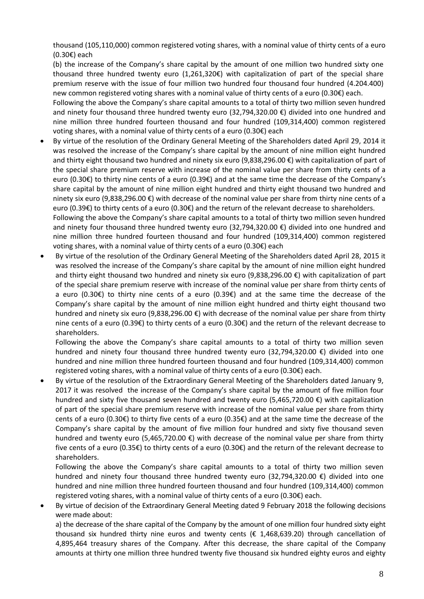thousand (105,110,000) common registered voting shares, with a nominal value of thirty cents of a euro (0.30€) each

(b) the increase of the Company's share capital by the amount of one million two hundred sixty one thousand three hundred twenty euro (1,261,320€) with capitalization of part of the special share premium reserve with the issue of four million two hundred four thousand four hundred (4.204.400) new common registered voting shares with a nominal value of thirty cents of a euro (0.30€) each.

Following the above the Company's share capital amounts to a total of thirty two million seven hundred and ninety four thousand three hundred twenty euro (32,794,320.00 €) divided into one hundred and nine million three hundred fourteen thousand and four hundred (109,314,400) common registered voting shares, with a nominal value of thirty cents of a euro (0.30€) each

• By virtue of the resolution of the Ordinary General Meeting of the Shareholders dated April 29, 2014 it was resolved the increase of the Company's share capital by the amount of nine million eight hundred and thirty eight thousand two hundred and ninety six euro (9,838,296.00 €) with capitalization of part of the special share premium reserve with increase of the nominal value per share from thirty cents of a euro (0.30€) to thirty nine cents of a euro (0.39€) and at the same time the decrease of the Company's share capital by the amount of nine million eight hundred and thirty eight thousand two hundred and ninety six euro (9,838,296.00 €) with decrease of the nominal value per share from thirty nine cents of a euro (0.39€) to thirty cents of a euro (0.30€) and the return of the relevant decrease to shareholders.

Following the above the Company's share capital amounts to a total of thirty two million seven hundred and ninety four thousand three hundred twenty euro (32,794,320.00 €) divided into one hundred and nine million three hundred fourteen thousand and four hundred (109,314,400) common registered voting shares, with a nominal value of thirty cents of a euro (0.30€) each

• By virtue of the resolution of the Ordinary General Meeting of the Shareholders dated April 28, 2015 it was resolved the increase of the Company's share capital by the amount of nine million eight hundred and thirty eight thousand two hundred and ninety six euro (9,838,296.00 €) with capitalization of part of the special share premium reserve with increase of the nominal value per share from thirty cents of a euro (0.30€) to thirty nine cents of a euro (0.39€) and at the same time the decrease of the Company's share capital by the amount of nine million eight hundred and thirty eight thousand two hundred and ninety six euro (9,838,296.00 €) with decrease of the nominal value per share from thirty nine cents of a euro (0.39€) to thirty cents of a euro (0.30€) and the return of the relevant decrease to shareholders.

Following the above the Company's share capital amounts to a total of thirty two million seven hundred and ninety four thousand three hundred twenty euro (32,794,320.00 €) divided into one hundred and nine million three hundred fourteen thousand and four hundred (109,314,400) common registered voting shares, with a nominal value of thirty cents of a euro (0.30 $\epsilon$ ) each.

• By virtue of the resolution of the Extraordinary General Meeting of the Shareholders dated January 9, 2017 it was resolved the increase of the Company's share capital by the amount of five million four hundred and sixty five thousand seven hundred and twenty euro (5,465,720.00 €) with capitalization of part of the special share premium reserve with increase of the nominal value per share from thirty cents of a euro (0.30€) to thirty five cents of a euro (0.35€) and at the same time the decrease of the Company's share capital by the amount of five million four hundred and sixty five thousand seven hundred and twenty euro (5,465,720.00 €) with decrease of the nominal value per share from thirty five cents of a euro (0.35€) to thirty cents of a euro (0.30€) and the return of the relevant decrease to shareholders.

Following the above the Company's share capital amounts to a total of thirty two million seven hundred and ninety four thousand three hundred twenty euro (32,794,320.00 €) divided into one hundred and nine million three hundred fourteen thousand and four hundred (109,314,400) common registered voting shares, with a nominal value of thirty cents of a euro (0.30€) each.

• By virtue of decision of the Extraordinary General Meeting dated 9 February 2018 the following decisions were made about:

a) the decrease of the share capital of the Company by the amount of one million four hundred sixty eight thousand six hundred thirty nine euros and twenty cents (€ 1,468,639.20) through cancellation of 4,895,464 treasury shares of the Company. After this decrease, the share capital of the Company amounts at thirty one million three hundred twenty five thousand six hundred eighty euros and eighty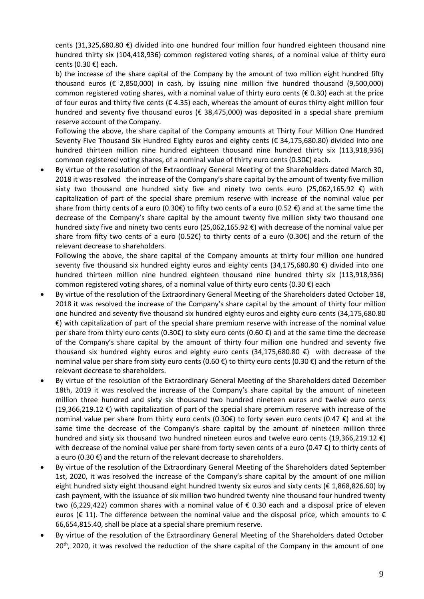cents (31,325,680.80 €) divided into one hundred four million four hundred eighteen thousand nine hundred thirty six (104,418,936) common registered voting shares, of a nominal value of thirty euro cents (0.30 €) each.

b) the increase of the share capital of the Company by the amount of two million eight hundred fifty thousand euros ( $\epsilon$  2,850,000) in cash, by issuing nine million five hundred thousand (9,500,000) common registered voting shares, with a nominal value of thirty euro cents ( $\epsilon$  0.30) each at the price of four euros and thirty five cents ( $\epsilon$  4.35) each, whereas the amount of euros thirty eight million four hundred and seventy five thousand euros ( $\epsilon$  38,475,000) was deposited in a special share premium reserve account of the Company.

Following the above, the share capital of the Company amounts at Thirty Four Million One Hundred Seventy Five Thousand Six Hundred Eighty euros and eighty cents (€ 34,175,680.80) divided into one hundred thirteen million nine hundred eighteen thousand nine hundred thirty six (113,918,936) common registered voting shares, of a nominal value of thirty euro cents (0.30€) each.

• By virtue of the resolution of the Extraordinary General Meeting of the Shareholders dated March 30, 2018 it was resolved the increase of the Company's share capital by the amount of twenty five million sixty two thousand one hundred sixty five and ninety two cents euro (25,062,165.92  $\epsilon$ ) with capitalization of part of the special share premium reserve with increase of the nominal value per share from thirty cents of a euro (0.30€) to fifty two cents of a euro (0.52 €) and at the same time the decrease of the Company's share capital by the amount twenty five million sixty two thousand one hundred sixty five and ninety two cents euro (25,062,165.92 €) with decrease of the nominal value per share from fifty two cents of a euro (0.52€) to thirty cents of a euro (0.30€) and the return of the relevant decrease to shareholders.

Following the above, the share capital of the Company amounts at thirty four million one hundred seventy five thousand six hundred eighty euros and eighty cents (34,175,680.80 €) divided into one hundred thirteen million nine hundred eighteen thousand nine hundred thirty six (113,918,936) common registered voting shares, of a nominal value of thirty euro cents (0.30  $\epsilon$ ) each

- By virtue of the resolution of the Extraordinary General Meeting of the Shareholders dated October 18, 2018 it was resolved the increase of the Company's share capital by the amount of thirty four million one hundred and seventy five thousand six hundred eighty euros and eighty euro cents (34,175,680.80 €) with capitalization of part of the special share premium reserve with increase of the nominal value per share from thirty euro cents (0.30€) to sixty euro cents (0.60 €) and at the same time the decrease of the Company's share capital by the amount of thirty four million one hundred and seventy five thousand six hundred eighty euros and eighty euro cents (34,175,680.80  $\epsilon$ ) with decrease of the nominal value per share from sixty euro cents (0.60 €) to thirty euro cents (0.30 €) and the return of the relevant decrease to shareholders.
- By virtue of the resolution of the Extraordinary General Meeting of the Shareholders dated December 18th, 2019 it was resolved the increase of the Company's share capital by the amount of nineteen million three hundred and sixty six thousand two hundred nineteen euros and twelve euro cents (19,366,219.12 €) with capitalization of part of the special share premium reserve with increase of the nominal value per share from thirty euro cents (0.30€) to forty seven euro cents (0.47 €) and at the same time the decrease of the Company's share capital by the amount of nineteen million three hundred and sixty six thousand two hundred nineteen euros and twelve euro cents (19,366,219.12 €) with decrease of the nominal value per share from forty seven cents of a euro (0.47 €) to thirty cents of a euro (0.30  $\epsilon$ ) and the return of the relevant decrease to shareholders.
- By virtue of the resolution of the Extraordinary General Meeting of the Shareholders dated September 1st, 2020, it was resolved the increase of the Company's share capital by the amount of one million eight hundred sixty eight thousand eight hundred twenty six euros and sixty cents ( $\epsilon$  1,868,826.60) by cash payment, with the issuance of six million two hundred twenty nine thousand four hundred twenty two (6,229,422) common shares with a nominal value of € 0.30 each and a disposal price of eleven euros (€ 11). The difference between the nominal value and the disposal price, which amounts to  $\epsilon$ 66,654,815.40, shall be place at a special share premium reserve.
- By virtue of the resolution of the Extraordinary General Meeting of the Shareholders dated October 20<sup>th</sup>, 2020, it was resolved the reduction of the share capital of the Company in the amount of one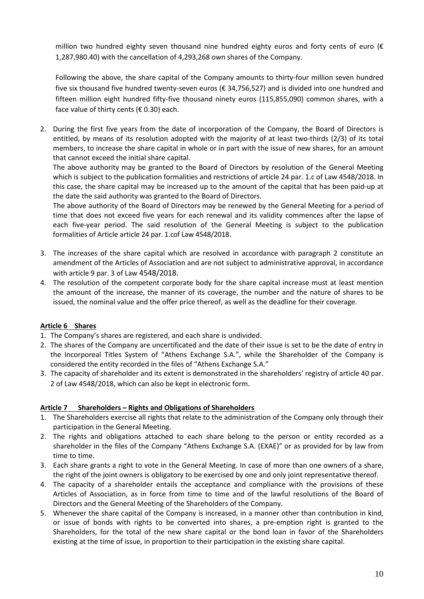million two hundred eighty seven thousand nine hundred eighty euros and forty cents of euro ( $\epsilon$ 1,287,980.40) with the cancellation of 4,293,268 own shares of the Company.

Following the above, the share capital of the Company amounts to thirty-four million seven hundred five six thousand five hundred twenty-seven euros (€ 34,756,527) and is divided into one hundred and fifteen million eight hundred fifty-five thousand ninety euros (115,855,090) common shares, with a face value of thirty cents ( $\epsilon$  0.30) each.

2. During the first five years from the date of incorporation of the Company, the Board of Directors is entitled, by means of its resolution adopted with the majority of at least two-thirds (2/3) of its total members, to increase the share capital in whole or in part with the issue of new shares, for an amount that cannot exceed the initial share capital.

The above authority may be granted to the Board of Directors by resolution of the General Meeting which is subject to the publication formalities and restrictions of article 24 par. 1.c of Law 4548/2018. In this case, the share capital may be increased up to the amount of the capital that has been paid-up at the date the said authority was granted to the Board of Directors.

The above authority of the Board of Directors may be renewed by the General Meeting for a period of time that does not exceed five years for each renewal and its validity commences after the lapse of each five-year period. The said resolution of the General Meeting is subject to the publication formalities of Article article 24 par. 1.cof Law 4548/2018.

- 3. The increases of the share capital which are resolved in accordance with paragraph 2 constitute an amendment of the Articles of Association and are not subject to administrative approval, in accordance with article 9 par. 3 of Law 4548/2018.
- 4. The resolution of the competent corporate body for the share capital increase must at least mention the amount of the increase, the manner of its coverage, the number and the nature of shares to be issued, the nominal value and the offer price thereof, as well as the deadline for their coverage.

## **Article 6 Shares**

- 1. The Company's shares are registered, and each share is undivided.
- 2. The shares of the Company are uncertificated and the date of their issue is set to be the date of entry in the Incorporeal Titles System of "Athens Exchange S.A.", while the Shareholder of the Company is considered the entity recorded in the files of "Athens Exchange S.A."
- 3. The capacity of shareholder and its extent is demonstrated in the shareholders' registry of article 40 par. 2 of Law 4548/2018, which can also be kept in electronic form.

## **Article 7 Shareholders – Rights and Obligations of Shareholders**

- 1. The Shareholders exercise all rights that relate to the administration of the Company only through their participation in the General Meeting.
- 2. The rights and obligations attached to each share belong to the person or entity recorded as a shareholder in the files of the Company "Athens Exchange S.A. (EXAE)" or as provided for by law from time to time.
- 3. Each share grants a right to vote in the General Meeting. In case of more than one owners of a share, the right of the joint owners is obligatory to be exercised by one and only joint representative thereof.
- 4. The capacity of a shareholder entails the acceptance and compliance with the provisions of these Articles of Association, as in force from time to time and of the lawful resolutions of the Board of Directors and the General Meeting of the Shareholders of the Company.
- 5. Whenever the share capital of the Company is increased, in a manner other than contribution in kind, or issue of bonds with rights to be converted into shares, a pre-emption right is granted to the Shareholders, for the total of the new share capital or the bond loan in favor of the Shareholders existing at the time of issue, in proportion to their participation in the existing share capital.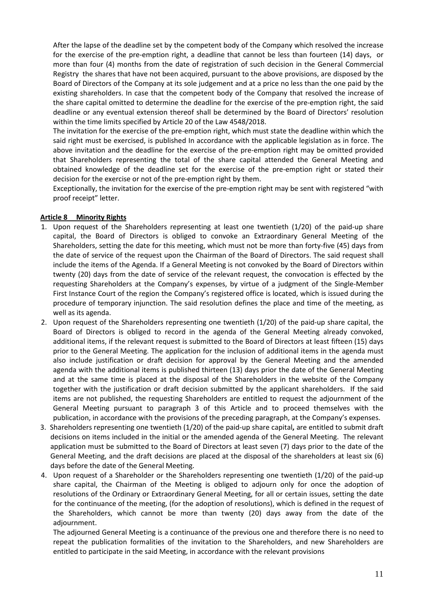After the lapse of the deadline set by the competent body of the Company which resolved the increase for the exercise of the pre-emption right, a deadline that cannot be less than fourteen (14) days, or more than four (4) months from the date of registration of such decision in the General Commercial Registry the shares that have not been acquired, pursuant to the above provisions, are disposed by the Board of Directors of the Company at its sole judgement and at a price no less than the one paid by the existing shareholders. In case that the competent body of the Company that resolved the increase of the share capital omitted to determine the deadline for the exercise of the pre-emption right, the said deadline or any eventual extension thereof shall be determined by the Board of Directors' resolution within the time limits specified by Article 20 of the Law 4548/2018.

The invitation for the exercise of the pre-emption right, which must state the deadline within which the said right must be exercised, is published In accordance with the applicable legislation as in force. The above invitation and the deadline for the exercise of the pre-emption right may be omitted provided that Shareholders representing the total of the share capital attended the General Meeting and obtained knowledge of the deadline set for the exercise of the pre-emption right or stated their decision for the exercise or not of the pre-emption right by them.

Exceptionally, the invitation for the exercise of the pre-emption right may be sent with registered "with proof receipt" letter.

#### **Article 8 Minority Rights**

- 1. Upon request of the Shareholders representing at least one twentieth (1/20) of the paid-up share capital, the Board of Directors is obliged to convoke an Extraordinary General Meeting of the Shareholders, setting the date for this meeting, which must not be more than forty-five (45) days from the date of service of the request upon the Chairman of the Board of Directors. The said request shall include the items of the Agenda. If a General Meeting is not convoked by the Board of Directors within twenty (20) days from the date of service of the relevant request, the convocation is effected by the requesting Shareholders at the Company's expenses, by virtue of a judgment of the Single-Member First Instance Court of the region the Company's registered office is located, which is issued during the procedure of temporary injunction. The said resolution defines the place and time of the meeting, as well as its agenda.
- 2. Upon request of the Shareholders representing one twentieth (1/20) of the paid-up share capital, the Board of Directors is obliged to record in the agenda of the General Meeting already convoked, additional items, if the relevant request is submitted to the Board of Directors at least fifteen (15) days prior to the General Meeting. The application for the inclusion of additional items in the agenda must also include justification or draft decision for approval by the General Meeting and the amended agenda with the additional items is published thirteen (13) days prior the date of the General Meeting and at the same time is placed at the disposal of the Shareholders in the website of the Company together with the justification or draft decision submitted by the applicant shareholders. If the said items are not published, the requesting Shareholders are entitled to request the adjournment of the General Meeting pursuant to paragraph 3 of this Article and to proceed themselves with the publication, in accordance with the provisions of the preceding paragraph, at the Company's expenses.
- 3. Shareholders representing one twentieth (1/20) of the paid-up share capital**,** are entitled to submit draft decisions on items included in the initial or the amended agenda of the General Meeting. The relevant application must be submitted to the Board of Directors at least seven (7) days prior to the date of the General Meeting, and the draft decisions are placed at the disposal of the shareholders at least six (6) days before the date of the General Meeting.
- 4. Upon request of a Shareholder or the Shareholders representing one twentieth (1/20) of the paid-up share capital, the Chairman of the Meeting is obliged to adjourn only for once the adoption of resolutions of the Ordinary or Extraordinary General Meeting, for all or certain issues, setting the date for the continuance of the meeting, (for the adoption of resolutions), which is defined in the request of the Shareholders, which cannot be more than twenty (20) days away from the date of the adjournment.

The adjourned General Meeting is a continuance of the previous one and therefore there is no need to repeat the publication formalities of the invitation to the Shareholders, and new Shareholders are entitled to participate in the said Meeting, in accordance with the relevant provisions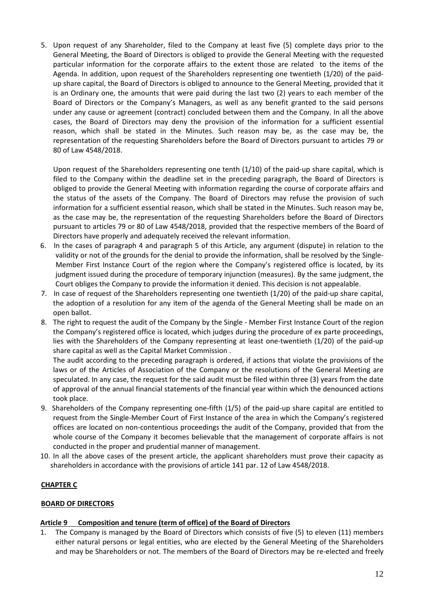5. Upon request of any Shareholder, filed to the Company at least five (5) complete days prior to the General Meeting, the Board of Directors is obliged to provide the General Meeting with the requested particular information for the corporate affairs to the extent those are related to the items of the Agenda. In addition, upon request of the Shareholders representing one twentieth (1/20) of the paidup share capital, the Board of Directors is obliged to announce to the General Meeting, provided that it is an Ordinary one, the amounts that were paid during the last two (2) years to each member of the Board of Directors or the Company's Managers, as well as any benefit granted to the said persons under any cause or agreement (contract) concluded between them and the Company. In all the above cases, the Board of Directors may deny the provision of the information for a sufficient essential reason, which shall be stated in the Minutes. Such reason may be, as the case may be, the representation of the requesting Shareholders before the Board of Directors pursuant to articles 79 or 80 of Law 4548/2018.

Upon request of the Shareholders representing one tenth (1/10) of the paid-up share capital, which is filed to the Company within the deadline set in the preceding paragraph, the Board of Directors is obliged to provide the General Meeting with information regarding the course of corporate affairs and the status of the assets of the Company. The Board of Directors may refuse the provision of such information for a sufficient essential reason, which shall be stated in the Minutes. Such reason may be, as the case may be, the representation of the requesting Shareholders before the Board of Directors pursuant to articles 79 or 80 of Law 4548/2018, provided that the respective members of the Board of Directors have properly and adequately received the relevant information.

- 6. In the cases of paragraph 4 and paragraph 5 of this Article, any argument (dispute) in relation to the validity or not of the grounds for the denial to provide the information, shall be resolved by the Single-Member First Instance Court of the region where the Company's registered office is located, by its judgment issued during the procedure of temporary injunction (measures). By the same judgment, the Court obliges the Company to provide the information it denied. This decision is not appealable.
- 7. In case of request of the Shareholders representing one twentieth (1/20) of the paid-up share capital, the adoption of a resolution for any item of the agenda of the General Meeting shall be made on an open ballot.
- 8. The right to request the audit of the Company by the Single Member First Instance Court of the region the Company's registered office is located, which judges during the procedure of ex parte proceedings, lies with the Shareholders of the Company representing at least one-twentieth (1/20) of the paid-up share capital as well as the Capital Market Commission .

The audit according to the preceding paragraph is ordered, if actions that violate the provisions of the laws or of the Articles of Association of the Company or the resolutions of the General Meeting are speculated. In any case, the request for the said audit must be filed within three (3) years from the date of approval of the annual financial statements of the financial year within which the denounced actions took place.

- 9. Shareholders of the Company representing one-fifth (1/5) of the paid-up share capital are entitled to request from the Single-Member Court of First Instance of the area in which the Company's registered offices are located on non-contentious proceedings the audit of the Company, provided that from the whole course of the Company it becomes believable that the management of corporate affairs is not conducted in the proper and prudential manner of management.
- 10. In all the above cases of the present article, the applicant shareholders must prove their capacity as shareholders in accordance with the provisions of article 141 par. 12 of Law 4548/2018.

# **CHAPTER C**

## **BOARD OF DIRECTORS**

# **Article 9 Composition and tenure (term of office) of the Board of Directors**

1. The Company is managed by the Board of Directors which consists of five (5) to eleven (11) members either natural persons or legal entities, who are elected by the General Meeting of the Shareholders and may be Shareholders or not. The members of the Board of Directors may be re-elected and freely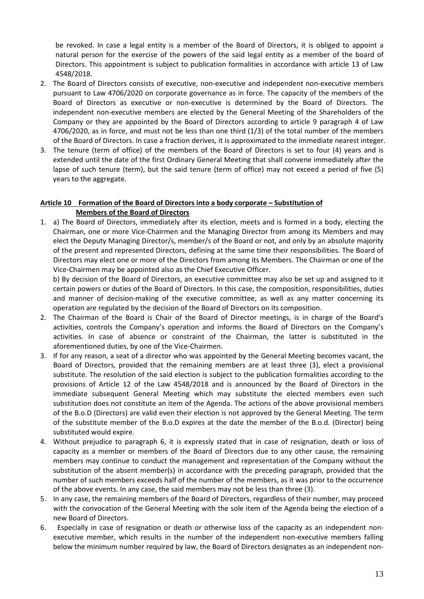be revoked. In case a legal entity is a member of the Board of Directors, it is obliged to appoint a natural person for the exercise of the powers of the said legal entity as a member of the board of Directors. This appointment is subject to publication formalities in accordance with article 13 of Law 4548/2018.

- 2. The Board of Directors consists of executive, non-executive and independent non-executive members pursuant to Law 4706/2020 on corporate governance as in force. The capacity of the members of the Board of Directors as executive or non-executive is determined by the Board of Directors. The independent non-executive members are elected by the General Meeting of the Shareholders of the Company or they are appointed by the Board of Directors according to article 9 paragraph 4 of Law 4706/2020, as in force, and must not be less than one third (1/3) of the total number of the members of the Board of Directors. In case a fraction derives, it is approximated to the immediate nearest integer.
- 3. The tenure (term of office) of the members of the Board of Directors is set to four (4) years and is extended until the date of the first Ordinary General Meeting that shall convene immediately after the lapse of such tenure (term), but the said tenure (term of office) may not exceed a period of five (5) years to the aggregate.

# **Article 10 Formation of the Board of Directors into a body corporate – Substitution of Members of the Board of Directors**

1. a) The Board of Directors, immediately after its election, meets and is formed in a body, electing the Chairman, one or more Vice-Chairmen and the Managing Director from among its Members and may elect the Deputy Managing Director/s, member/s of the Board or not, and only by an absolute majority of the present and represented Directors, defining at the same time their responsibilities. The Board of Directors may elect one or more of the Directors from among its Members. The Chairman or one of the Vice-Chairmen may be appointed also as the Chief Executive Officer.

b) By decision of the Board of Directors, an executive committee may also be set up and assigned to it certain powers or duties of the Board of Directors. In this case, the composition, responsibilities, duties and manner of decision-making of the executive committee, as well as any matter concerning its operation are regulated by the decision of the Board of Directors on its composition.

- 2. The Chairman of the Board is Chair of the Board of Director meetings, is in charge of the Board's activities, controls the Company's operation and informs the Board of Directors on the Company's activities. In case of absence or constraint of the Chairman, the latter is substituted in the aforementioned duties, by one of the Vice-Chairmen.
- 3. If for any reason, a seat of a director who was appointed by the General Meeting becomes vacant, the Board of Directors, provided that the remaining members are at least three (3), elect a provisional substitute. The resolution of the said election is subject to the publication formalities according to the provisions of Article 12 of the Law 4548/2018 and is announced by the Board of Directors in the immediate subsequent General Meeting which may substitute the elected members even such substitution does not constitute an item of the Agenda. The actions of the above provisional members of the B.o.D (Directors) are valid even their election is not approved by the General Meeting. The term of the substitute member of the B.o.D expires at the date the member of the B.o.d. (Director) being substituted would expire.
- 4. Without prejudice to paragraph 6, it is expressly stated that in case of resignation, death or loss of capacity as a member or members of the Board of Directors due to any other cause, the remaining members may continue to conduct the management and representation of the Company without the substitution of the absent member(s) in accordance with the preceding paragraph, provided that the number of such members exceeds half of the number of the members, as it was prior to the occurrence of the above events. In any case, the said members may not be less than three (3).
- 5. In any case, the remaining members of the Board of Directors, regardless of their number, may proceed with the convocation of the General Meeting with the sole item of the Agenda being the election of a new Board of Directors.
- 6. Especially in case of resignation or death or otherwise loss of the capacity as an independent nonexecutive member, which results in the number of the independent non-executive members falling below the minimum number required by law, the Board of Directors designates as an independent non-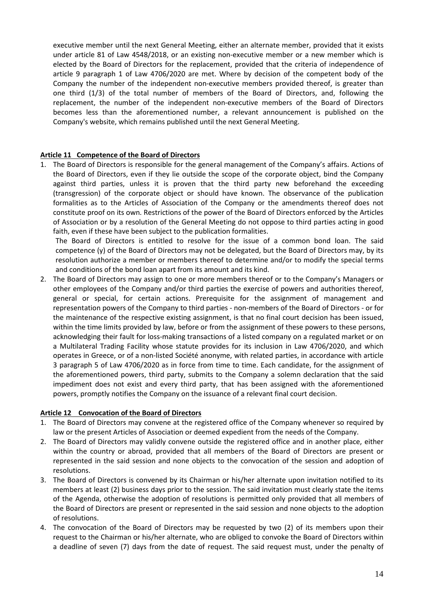executive member until the next General Meeting, either an alternate member, provided that it exists under article 81 of Law 4548/2018, or an existing non-executive member or a new member which is elected by the Board of Directors for the replacement, provided that the criteria of independence of article 9 paragraph 1 of Law 4706/2020 are met. Where by decision of the competent body of the Company the number of the independent non-executive members provided thereof, is greater than one third (1/3) of the total number of members of the Board of Directors, and, following the replacement, the number of the independent non-executive members of the Board of Directors becomes less than the aforementioned number, a relevant announcement is published on the Company's website, which remains published until the next General Meeting.

#### **Article 11 Competence of the Board of Directors**

1. The Board of Directors is responsible for the general management of the Company's affairs. Actions of the Board of Directors, even if they lie outside the scope of the corporate object, bind the Company against third parties, unless it is proven that the third party new beforehand the exceeding (transgression) of the corporate object or should have known. The observance of the publication formalities as to the Articles of Association of the Company or the amendments thereof does not constitute proof on its own. Restrictions of the power of the Board of Directors enforced by the Articles of Association or by a resolution of the General Meeting do not oppose to third parties acting in good faith, even if these have been subject to the publication formalities.

The Board of Directors is entitled to resolve for the issue of a common bond loan. The said competence (y) of the Board of Directors may not be delegated, but the Board of Directors may, by its resolution authorize a member or members thereof to determine and/or to modify the special terms and conditions of the bond loan apart from its amount and its kind.

2. The Board of Directors may assign to one or more members thereof or to the Company's Managers or other employees of the Company and/or third parties the exercise of powers and authorities thereof, general or special, for certain actions. Prerequisite for the assignment of management and representation powers of the Company to third parties - non-members of the Board of Directors - or for the maintenance of the respective existing assignment, is that no final court decision has been issued, within the time limits provided by law, before or from the assignment of these powers to these persons, acknowledging their fault for loss-making transactions of a listed company on a regulated market or on a Multilateral Trading Facility whose statute provides for its inclusion in Law 4706/2020, and which operates in Greece, or of a non-listed Société anonyme, with related parties, in accordance with article 3 paragraph 5 of Law 4706/2020 as in force from time to time. Each candidate, for the assignment of the aforementioned powers, third party, submits to the Company a solemn declaration that the said impediment does not exist and every third party, that has been assigned with the aforementioned powers, promptly notifies the Company on the issuance of a relevant final court decision.

#### **Article 12 Convocation of the Board of Directors**

- 1. The Board of Directors may convene at the registered office of the Company whenever so required by law or the present Articles of Association or deemed expedient from the needs of the Company.
- 2. The Board of Directors may validly convene outside the registered office and in another place, either within the country or abroad, provided that all members of the Board of Directors are present or represented in the said session and none objects to the convocation of the session and adoption of resolutions.
- 3. The Board of Directors is convened by its Chairman or his/her alternate upon invitation notified to its members at least (2) business days prior to the session. The said invitation must clearly state the items of the Agenda, otherwise the adoption of resolutions is permitted only provided that all members of the Board of Directors are present or represented in the said session and none objects to the adoption of resolutions.
- 4. The convocation of the Board of Directors may be requested by two (2) of its members upon their request to the Chairman or his/her alternate, who are obliged to convoke the Board of Directors within a deadline of seven (7) days from the date of request. The said request must, under the penalty of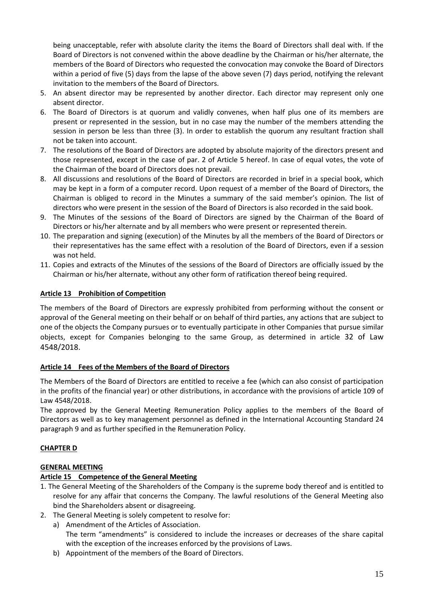being unacceptable, refer with absolute clarity the items the Board of Directors shall deal with. If the Board of Directors is not convened within the above deadline by the Chairman or his/her alternate, the members of the Board of Directors who requested the convocation may convoke the Board of Directors within a period of five (5) days from the lapse of the above seven (7) days period, notifying the relevant invitation to the members of the Board of Directors.

- 5. An absent director may be represented by another director. Each director may represent only one absent director.
- 6. The Board of Directors is at quorum and validly convenes, when half plus one of its members are present or represented in the session, but in no case may the number of the members attending the session in person be less than three (3). In order to establish the quorum any resultant fraction shall not be taken into account.
- 7. The resolutions of the Board of Directors are adopted by absolute majority of the directors present and those represented, except in the case of par. 2 of Article 5 hereof. In case of equal votes, the vote of the Chairman of the board of Directors does not prevail.
- 8. All discussions and resolutions of the Board of Directors are recorded in brief in a special book, which may be kept in a form of a computer record. Upon request of a member of the Board of Directors, the Chairman is obliged to record in the Minutes a summary of the said member's opinion. The list of directors who were present in the session of the Board of Directors is also recorded in the said book.
- 9. The Minutes of the sessions of the Board of Directors are signed by the Chairman of the Board of Directors or his/her alternate and by all members who were present or represented therein.
- 10. The preparation and signing (execution) of the Minutes by all the members of the Board of Directors or their representatives has the same effect with a resolution of the Board of Directors, even if a session was not held.
- 11. Copies and extracts of the Minutes of the sessions of the Board of Directors are officially issued by the Chairman or his/her alternate, without any other form of ratification thereof being required.

# **Article 13 Prohibition of Competition**

The members of the Board of Directors are expressly prohibited from performing without the consent or approval of the General meeting on their behalf or on behalf of third parties, any actions that are subject to one of the objects the Company pursues or to eventually participate in other Companies that pursue similar objects, except for Companies belonging to the same Group, as determined in article 32 of Law 4548/2018.

# **Article 14 Fees of the Members of the Board of Directors**

The Members of the Board of Directors are entitled to receive a fee (which can also consist of participation in the profits of the financial year) or other distributions, in accordance with the provisions of article 109 of Law 4548/2018.

The approved by the General Meeting Remuneration Policy applies to the members of the Board of Directors as well as to key management personnel as defined in the International Accounting Standard 24 paragraph 9 and as further specified in the Remuneration Policy.

# **CHAPTER D**

## **GENERAL MEETING**

# **Article 15 Competence of the General Meeting**

- 1. The General Meeting of the Shareholders of the Company is the supreme body thereof and is entitled to resolve for any affair that concerns the Company. The lawful resolutions of the General Meeting also bind the Shareholders absent or disagreeing.
- 2. The General Meeting is solely competent to resolve for:
	- a) Amendment of the Articles of Association. The term "amendments" is considered to include the increases or decreases of the share capital with the exception of the increases enforced by the provisions of Laws.
	- b) Appointment of the members of the Board of Directors.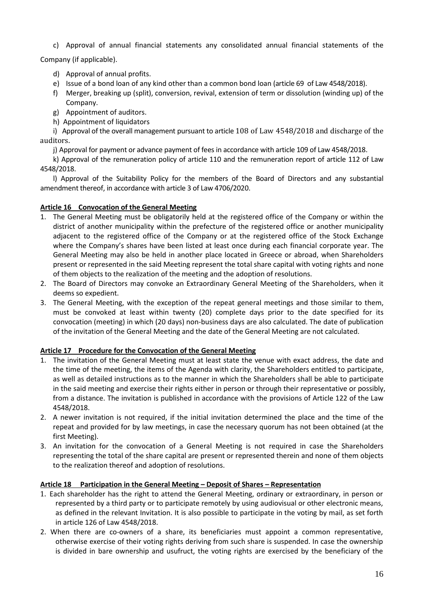c) Approval of annual financial statements any consolidated annual financial statements of the

Company (if applicable).

- d) Approval of annual profits.
- e) Issue of a bond loan of any kind other than a common bond loan (article 69 of Law 4548/2018).
- f) Merger, breaking up (split), conversion, revival, extension of term or dissolution (winding up) of the Company.
- g) Appointment of auditors.
- h) Appointment of liquidators

i) Approval of the overall management pursuant to article 108 of Law 4548/2018 and discharge of the auditors.

j) Approval for payment or advance payment of fees in accordance with article 109 of Law 4548/2018.

k) Approval of the remuneration policy of article 110 and the remuneration report of article 112 of Law 4548/2018.

l) Approval of the Suitability Policy for the members of the Board of Directors and any substantial amendment thereof, in accordance with article 3 of Law 4706/2020.

## **Article 16 Convocation of the General Meeting**

- 1. The General Meeting must be obligatorily held at the registered office of the Company or within the district of another municipality within the prefecture of the registered office or another municipality adjacent to the registered office of the Company or at the registered office of the Stock Exchange where the Company's shares have been listed at least once during each financial corporate year. The General Meeting may also be held in another place located in Greece or abroad, when Shareholders present or represented in the said Meeting represent the total share capital with voting rights and none of them objects to the realization of the meeting and the adoption of resolutions.
- 2. The Board of Directors may convoke an Extraordinary General Meeting of the Shareholders, when it deems so expedient.
- 3. The General Meeting, with the exception of the repeat general meetings and those similar to them, must be convoked at least within twenty (20) complete days prior to the date specified for its convocation (meeting) in which (20 days) non-business days are also calculated. The date of publication of the invitation of the General Meeting and the date of the General Meeting are not calculated.

## **Article 17 Procedure for the Convocation of the General Meeting**

- 1. The invitation of the General Meeting must at least state the venue with exact address, the date and the time of the meeting, the items of the Agenda with clarity, the Shareholders entitled to participate, as well as detailed instructions as to the manner in which the Shareholders shall be able to participate in the said meeting and exercise their rights either in person or through their representative or possibly, from a distance. The invitation is published in accordance with the provisions of Article 122 of the Law 4548/2018.
- 2. A newer invitation is not required, if the initial invitation determined the place and the time of the repeat and provided for by law meetings, in case the necessary quorum has not been obtained (at the first Meeting).
- 3. An invitation for the convocation of a General Meeting is not required in case the Shareholders representing the total of the share capital are present or represented therein and none of them objects to the realization thereof and adoption of resolutions.

## **Article 18 Participation in the General Meeting – Deposit of Shares – Representation**

- 1. Each shareholder has the right to attend the General Meeting, ordinary or extraordinary, in person or represented by a third party or to participate remotely by using audiovisual or other electronic means, as defined in the relevant Invitation. It is also possible to participate in the voting by mail, as set forth in article 126 of Law 4548/2018.
- 2. When there are co-owners of a share, its beneficiaries must appoint a common representative, otherwise exercise of their voting rights deriving from such share is suspended. In case the ownership is divided in bare ownership and usufruct, the voting rights are exercised by the beneficiary of the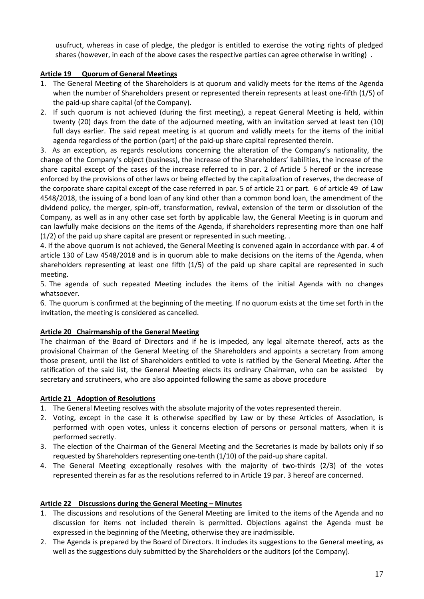usufruct, whereas in case of pledge, the pledgor is entitled to exercise the voting rights of pledged shares (however, in each of the above cases the respective parties can agree otherwise in writing) .

# **Article 19 Quorum of General Meetings**

- 1. The General Meeting of the Shareholders is at quorum and validly meets for the items of the Agenda when the number of Shareholders present or represented therein represents at least one-fifth (1/5) of the paid-up share capital (of the Company).
- 2. If such quorum is not achieved (during the first meeting), a repeat General Meeting is held, within twenty (20) days from the date of the adjourned meeting, with an invitation served at least ten (10) full days earlier. The said repeat meeting is at quorum and validly meets for the items of the initial agenda regardless of the portion (part) of the paid-up share capital represented therein.

3. As an exception, as regards resolutions concerning the alteration of the Company's nationality, the change of the Company's object (business), the increase of the Shareholders' liabilities, the increase of the share capital except of the cases of the increase referred to in par. 2 of Article 5 hereof or the increase enforced by the provisions of other laws or being effected by the capitalization of reserves, the decrease of the corporate share capital except of the case referred in par. 5 of article 21 or part. 6 of article 49 of Law 4548/2018, the issuing of a bond loan of any kind other than a common bond loan, the amendment of the dividend policy, the merger, spin-off, transformation, revival, extension of the term or dissolution of the Company, as well as in any other case set forth by applicable law, the General Meeting is in quorum and can lawfully make decisions on the items of the Agenda, if shareholders representing more than one half (1/2) of the paid up share capital are present or represented in such meeting. .

4. If the above quorum is not achieved, the General Meeting is convened again in accordance with par. 4 of article 130 of Law 4548/2018 and is in quorum able to make decisions on the items of the Agenda, when shareholders representing at least one fifth (1/5) of the paid up share capital are represented in such meeting.

5. The agenda of such repeated Meeting includes the items of the initial Agenda with no changes whatsoever.

6. The quorum is confirmed at the beginning of the meeting. If no quorum exists at the time set forth in the invitation, the meeting is considered as cancelled.

## **Article 20 Chairmanship of the General Meeting**

The chairman of the Board of Directors and if he is impeded, any legal alternate thereof, acts as the provisional Chairman of the General Meeting of the Shareholders and appoints a secretary from among those present, until the list of Shareholders entitled to vote is ratified by the General Meeting. After the ratification of the said list, the General Meeting elects its ordinary Chairman, who can be assisted by secretary and scrutineers, who are also appointed following the same as above procedure

## **Article 21 Adoption of Resolutions**

- 1. The General Meeting resolves with the absolute majority of the votes represented therein.
- 2. Voting, except in the case it is otherwise specified by Law or by these Articles of Association, is performed with open votes, unless it concerns election of persons or personal matters, when it is performed secretly.
- 3. The election of the Chairman of the General Meeting and the Secretaries is made by ballots only if so requested by Shareholders representing one-tenth (1/10) of the paid-up share capital.
- 4. The General Meeting exceptionally resolves with the majority of two-thirds (2/3) of the votes represented therein as far as the resolutions referred to in Article 19 par. 3 hereof are concerned.

## **Article 22 Discussions during the General Meeting – Minutes**

- 1. The discussions and resolutions of the General Meeting are limited to the items of the Agenda and no discussion for items not included therein is permitted. Objections against the Agenda must be expressed in the beginning of the Meeting, otherwise they are inadmissible.
- 2. The Agenda is prepared by the Board of Directors. It includes its suggestions to the General meeting, as well as the suggestions duly submitted by the Shareholders or the auditors (of the Company).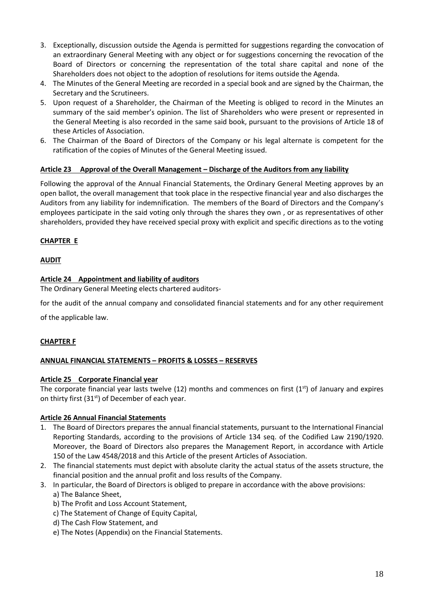- 3. Exceptionally, discussion outside the Agenda is permitted for suggestions regarding the convocation of an extraordinary General Meeting with any object or for suggestions concerning the revocation of the Board of Directors or concerning the representation of the total share capital and none of the Shareholders does not object to the adoption of resolutions for items outside the Agenda.
- 4. The Minutes of the General Meeting are recorded in a special book and are signed by the Chairman, the Secretary and the Scrutineers.
- 5. Upon request of a Shareholder, the Chairman of the Meeting is obliged to record in the Minutes an summary of the said member's opinion. The list of Shareholders who were present or represented in the General Meeting is also recorded in the same said book, pursuant to the provisions of Article 18 of these Articles of Association.
- 6. The Chairman of the Board of Directors of the Company or his legal alternate is competent for the ratification of the copies of Minutes of the General Meeting issued.

# **Article 23 Approval of the Overall Management – Discharge of the Auditors from any liability**

Following the approval of the Annual Financial Statements, the Ordinary General Meeting approves by an open ballot, the overall management that took place in the respective financial year and also discharges the Auditors from any liability for indemnification. The members of the Board of Directors and the Company's employees participate in the said voting only through the shares they own , or as representatives of other shareholders, provided they have received special proxy with explicit and specific directions as to the voting

# **CHAPTER E**

#### **AUDIT**

## **Article 24 Appointment and liability of auditors**

The Ordinary General Meeting elects chartered auditors-

for the audit of the annual company and consolidated financial statements and for any other requirement

of the applicable law.

## **CHAPTER F**

## **ANNUAL FINANCIAL STATEMENTS – PROFITS & LOSSES – RESERVES**

#### **Article 25 Corporate Financial year**

The corporate financial year lasts twelve (12) months and commences on first ( $1<sup>st</sup>$ ) of January and expires on thirty first  $(31<sup>st</sup>)$  of December of each year.

## **Article 26 Annual Financial Statements**

- 1. The Board of Directors prepares the annual financial statements, pursuant to the International Financial Reporting Standards, according to the provisions of Article 134 seq. of the Codified Law 2190/1920. Moreover, the Board of Directors also prepares the Management Report, in accordance with Article 150 of the Law 4548/2018 and this Article of the present Articles of Association.
- 2. The financial statements must depict with absolute clarity the actual status of the assets structure, the financial position and the annual profit and loss results of the Company.
- 3. In particular, the Board of Directors is obliged to prepare in accordance with the above provisions: a) The Balance Sheet,
	- b) The Profit and Loss Account Statement,
	- c) The Statement of Change of Equity Capital,
	- d) The Cash Flow Statement, and
	- e) The Notes (Appendix) on the Financial Statements.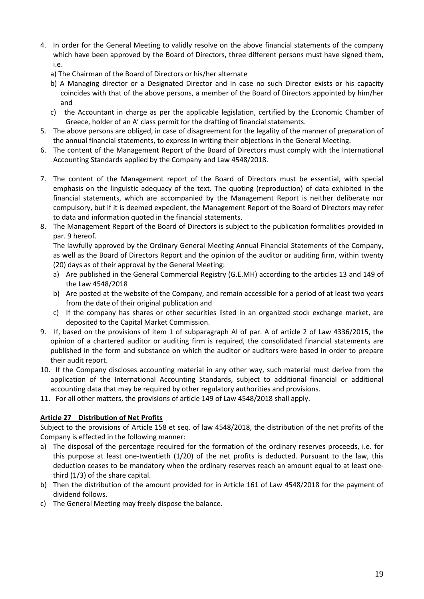- 4. In order for the General Meeting to validly resolve on the above financial statements of the company which have been approved by the Board of Directors, three different persons must have signed them, i.e.
	- a) The Chairman of the Board of Directors or his/her alternate
	- b) A Managing director or a Designated Director and in case no such Director exists or his capacity coincides with that of the above persons, a member of the Board of Directors appointed by him/her and
	- c) the Accountant in charge as per the applicable legislation, certified by the Economic Chamber of Greece, holder of an A' class permit for the drafting of financial statements.
- 5. The above persons are obliged, in case of disagreement for the legality of the manner of preparation of the annual financial statements, to express in writing their objections in the General Meeting.
- 6. The content of the Management Report of the Board of Directors must comply with the International Accounting Standards applied by the Company and Law 4548/2018.
- 7. The content of the Management report of the Board of Directors must be essential, with special emphasis on the linguistic adequacy of the text. The quoting (reproduction) of data exhibited in the financial statements, which are accompanied by the Management Report is neither deliberate nor compulsory, but if it is deemed expedient, the Management Report of the Board of Directors may refer to data and information quoted in the financial statements.
- 8. The Management Report of the Board of Directors is subject to the publication formalities provided in par. 9 hereof.

The lawfully approved by the Ordinary General Meeting Annual Financial Statements of the Company, as well as the Board of Directors Report and the opinion of the auditor or auditing firm, within twenty (20) days as of their approval by the General Meeting:

- a) Are published in the General Commercial Registry (G.E.MH) according to the articles 13 and 149 of the Law 4548/2018
- b) Are posted at the website of the Company, and remain accessible for a period of at least two years from the date of their original publication and
- c) If the company has shares or other securities listed in an organized stock exchange market, are deposited to the Capital Market Commission.
- 9. If, based on the provisions of item 1 of subparagraph AI of par. A of article 2 of Law 4336/2015, the opinion of a chartered auditor or auditing firm is required, the consolidated financial statements are published in the form and substance on which the auditor or auditors were based in order to prepare their audit report.
- 10. If the Company discloses accounting material in any other way, such material must derive from the application of the International Accounting Standards, subject to additional financial or additional accounting data that may be required by other regulatory authorities and provisions.
- 11. For all other matters, the provisions of article 149 of Law 4548/2018 shall apply.

## **Article 27 Distribution of Net Profits**

Subject to the provisions of Article 158 et seq. of law 4548/2018, the distribution of the net profits of the Company is effected in the following manner:

- a) The disposal of the percentage required for the formation of the ordinary reserves proceeds, i.e. for this purpose at least one-twentieth (1/20) of the net profits is deducted. Pursuant to the law, this deduction ceases to be mandatory when the ordinary reserves reach an amount equal to at least onethird (1/3) of the share capital.
- b) Then the distribution of the amount provided for in Article 161 of Law 4548/2018 for the payment of dividend follows.
- c) The General Meeting may freely dispose the balance.